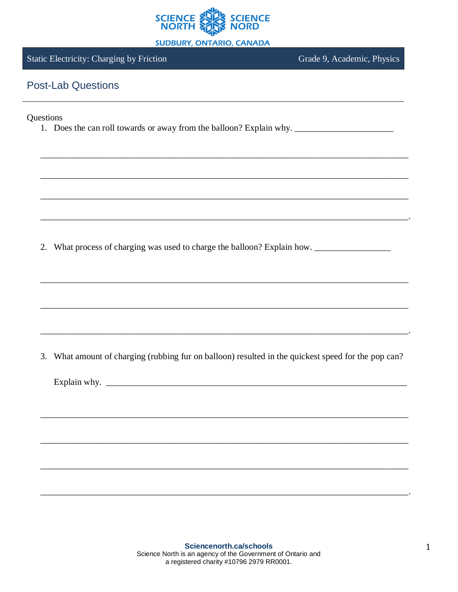

**SUDBURY, ONTARIO, CANADA** 

## **Static Electricity: Charging by Friction**

Grade 9, Academic, Physics

## **Post-Lab Questions**

## Questions

2. What process of charging was used to charge the balloon? Explain how.

3. What amount of charging (rubbing fur on balloon) resulted in the quickest speed for the pop can?

Explain why.  $\frac{1}{2}$   $\frac{1}{2}$   $\frac{1}{2}$   $\frac{1}{2}$   $\frac{1}{2}$   $\frac{1}{2}$   $\frac{1}{2}$   $\frac{1}{2}$   $\frac{1}{2}$   $\frac{1}{2}$   $\frac{1}{2}$   $\frac{1}{2}$   $\frac{1}{2}$   $\frac{1}{2}$   $\frac{1}{2}$   $\frac{1}{2}$   $\frac{1}{2}$   $\frac{1}{2}$   $\frac{1}{2}$   $\frac{1}{2}$   $\frac{1}{2}$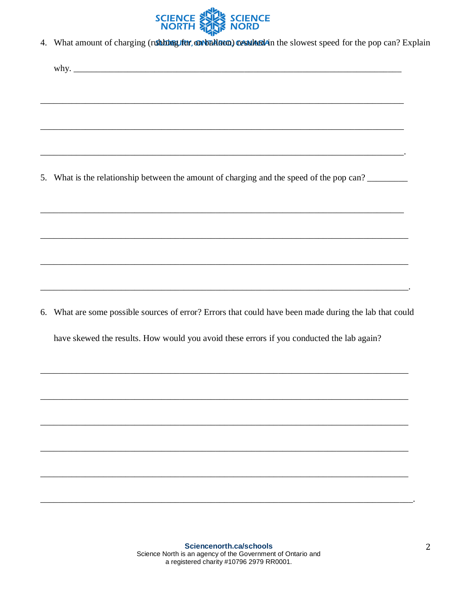

4. What amount of charging (rubbing fur, on balloon) cesulted in the slowest speed for the pop can? Explain

5. What is the relationship between the amount of charging and the speed of the pop can?

6. What are some possible sources of error? Errors that could have been made during the lab that could

have skewed the results. How would you avoid these errors if you conducted the lab again?